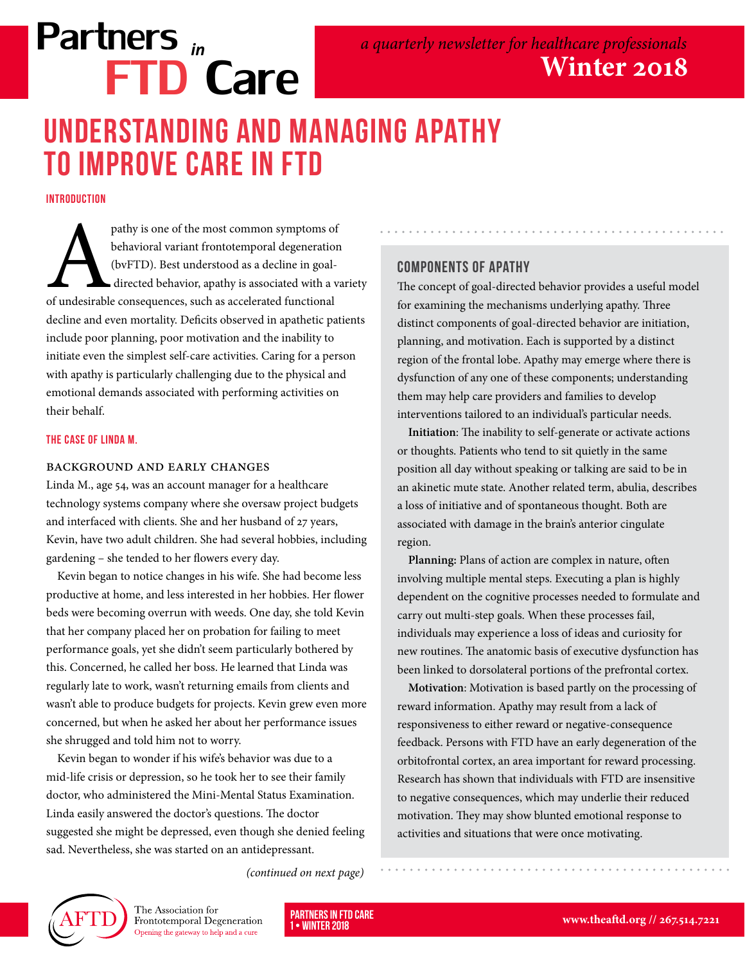# Partners *in* FTD Care

### Understanding and Managing Apathy to Improve Care in FTD

**INTRODUCTION** 

pathy is one of the most common symptoms of<br>
behavioral variant frontotemporal degeneration<br>
(bvFTD). Best understood as a decline in goal-<br>
directed behavior, apathy is associated with a variant<br>
of undesirable consequenc behavioral variant frontotemporal degeneration (bvFTD). Best understood as a decline in goal directed behavior, apathy is associated with a variety decline and even mortality. Deficits observed in apathetic patients include poor planning, poor motivation and the inability to initiate even the simplest self-care activities. Caring for a person with apathy is particularly challenging due to the physical and emotional demands associated with performing activities on their behalf.

#### The Case of Linda M.

#### Background and Early Changes

Linda M., age 54, was an account manager for a healthcare technology systems company where she oversaw project budgets and interfaced with clients. She and her husband of 27 years, Kevin, have two adult children. She had several hobbies, including gardening – she tended to her flowers every day.

Kevin began to notice changes in his wife. She had become less productive at home, and less interested in her hobbies. Her flower beds were becoming overrun with weeds. One day, she told Kevin that her company placed her on probation for failing to meet performance goals, yet she didn't seem particularly bothered by this. Concerned, he called her boss. He learned that Linda was regularly late to work, wasn't returning emails from clients and wasn't able to produce budgets for projects. Kevin grew even more concerned, but when he asked her about her performance issues she shrugged and told him not to worry.

Kevin began to wonder if his wife's behavior was due to a mid-life crisis or depression, so he took her to see their family doctor, who administered the Mini-Mental Status Examination. Linda easily answered the doctor's questions. The doctor suggested she might be depressed, even though she denied feeling sad. Nevertheless, she was started on an antidepressant.

#### Components of Apathy

The concept of goal-directed behavior provides a useful model for examining the mechanisms underlying apathy. Three distinct components of goal-directed behavior are initiation, planning, and motivation. Each is supported by a distinct region of the frontal lobe. Apathy may emerge where there is dysfunction of any one of these components; understanding them may help care providers and families to develop interventions tailored to an individual's particular needs.

**Initiation**: The inability to self-generate or activate actions or thoughts. Patients who tend to sit quietly in the same position all day without speaking or talking are said to be in an akinetic mute state. Another related term, abulia, describes a loss of initiative and of spontaneous thought. Both are associated with damage in the brain's anterior cingulate region.

**Planning:** Plans of action are complex in nature, often involving multiple mental steps. Executing a plan is highly dependent on the cognitive processes needed to formulate and carry out multi-step goals. When these processes fail, individuals may experience a loss of ideas and curiosity for new routines. The anatomic basis of executive dysfunction has been linked to dorsolateral portions of the prefrontal cortex.

**Motivation**: Motivation is based partly on the processing of reward information. Apathy may result from a lack of responsiveness to either reward or negative-consequence feedback. Persons with FTD have an early degeneration of the orbitofrontal cortex, an area important for reward processing. Research has shown that individuals with FTD are insensitive to negative consequences, which may underlie their reduced motivation. They may show blunted emotional response to activities and situations that were once motivating.

*(continued on next page)*



The Association for Frontotemporal Degeneration Opening the gateway to help and a cure

 $·$  WINTER 2018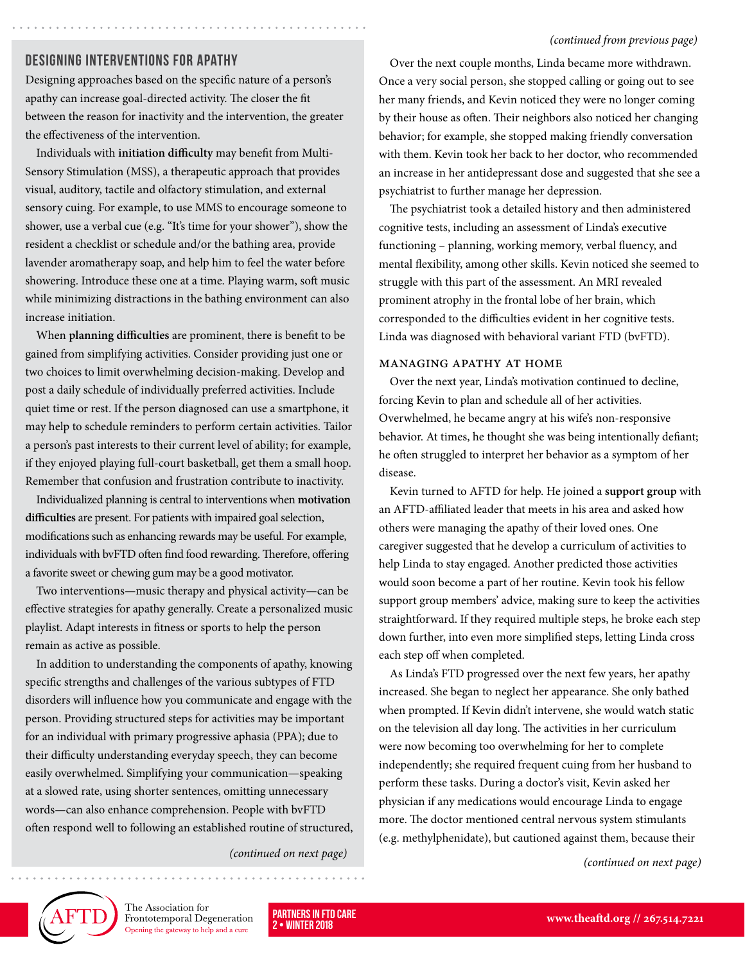#### *(continued from previous page)*

#### Designing Interventions for Apathy

Designing approaches based on the specific nature of a person's apathy can increase goal-directed activity. The closer the fit between the reason for inactivity and the intervention, the greater the effectiveness of the intervention.

Individuals with **initiation difficulty** may benefit from Multi-Sensory Stimulation (MSS), a therapeutic approach that provides visual, auditory, tactile and olfactory stimulation, and external sensory cuing. For example, to use MMS to encourage someone to shower, use a verbal cue (e.g. "It's time for your shower"), show the resident a checklist or schedule and/or the bathing area, provide lavender aromatherapy soap, and help him to feel the water before showering. Introduce these one at a time. Playing warm, soft music while minimizing distractions in the bathing environment can also increase initiation.

When **planning difficulties** are prominent, there is benefit to be gained from simplifying activities. Consider providing just one or two choices to limit overwhelming decision-making. Develop and post a daily schedule of individually preferred activities. Include quiet time or rest. If the person diagnosed can use a smartphone, it may help to schedule reminders to perform certain activities. Tailor a person's past interests to their current level of ability; for example, if they enjoyed playing full-court basketball, get them a small hoop. Remember that confusion and frustration contribute to inactivity.

Individualized planning is central to interventions when **motivation difficulties** are present. For patients with impaired goal selection, modifications such as enhancing rewards may be useful. For example, individuals with bvFTD often find food rewarding. Therefore, offering a favorite sweet or chewing gum may be a good motivator.

Two interventions—music therapy and physical activity—can be effective strategies for apathy generally. Create a personalized music playlist. Adapt interests in fitness or sports to help the person remain as active as possible.

In addition to understanding the components of apathy, knowing specific strengths and challenges of the various subtypes of FTD disorders will influence how you communicate and engage with the person. Providing structured steps for activities may be important for an individual with primary progressive aphasia (PPA); due to their difficulty understanding everyday speech, they can become easily overwhelmed. Simplifying your communication—speaking at a slowed rate, using shorter sentences, omitting unnecessary words—can also enhance comprehension. People with bvFTD often respond well to following an established routine of structured,

Over the next couple months, Linda became more withdrawn. Once a very social person, she stopped calling or going out to see her many friends, and Kevin noticed they were no longer coming by their house as often. Their neighbors also noticed her changing behavior; for example, she stopped making friendly conversation with them. Kevin took her back to her doctor, who recommended an increase in her antidepressant dose and suggested that she see a psychiatrist to further manage her depression.

The psychiatrist took a detailed history and then administered cognitive tests, including an assessment of Linda's executive functioning – planning, working memory, verbal fluency, and mental flexibility, among other skills. Kevin noticed she seemed to struggle with this part of the assessment. An MRI revealed prominent atrophy in the frontal lobe of her brain, which corresponded to the difficulties evident in her cognitive tests. Linda was diagnosed with behavioral variant FTD (bvFTD).

#### Managing Apathy at Home

Over the next year, Linda's motivation continued to decline, forcing Kevin to plan and schedule all of her activities. Overwhelmed, he became angry at his wife's non-responsive behavior. At times, he thought she was being intentionally defiant; he often struggled to interpret her behavior as a symptom of her disease.

Kevin turned to AFTD for help. He joined a **[support group](http://www.theaftd.org/get-involved/regions)** with an AFTD-affiliated leader that meets in his area and asked how others were managing the apathy of their loved ones. One caregiver suggested that he develop a curriculum of activities to help Linda to stay engaged. Another predicted those activities would soon become a part of her routine. Kevin took his fellow support group members' advice, making sure to keep the activities straightforward. If they required multiple steps, he broke each step down further, into even more simplified steps, letting Linda cross each step off when completed.

As Linda's FTD progressed over the next few years, her apathy increased. She began to neglect her appearance. She only bathed when prompted. If Kevin didn't intervene, she would watch static on the television all day long. The activities in her curriculum were now becoming too overwhelming for her to complete independently; she required frequent cuing from her husband to perform these tasks. During a doctor's visit, Kevin asked her physician if any medications would encourage Linda to engage more. The doctor mentioned central nervous system stimulants (e.g. methylphenidate), but cautioned against them, because their

*(continued on next page) (continued on next page)*



The Association for Frontotemporal Degeneration Opening the gateway to help and a cure

*WINTER 2018*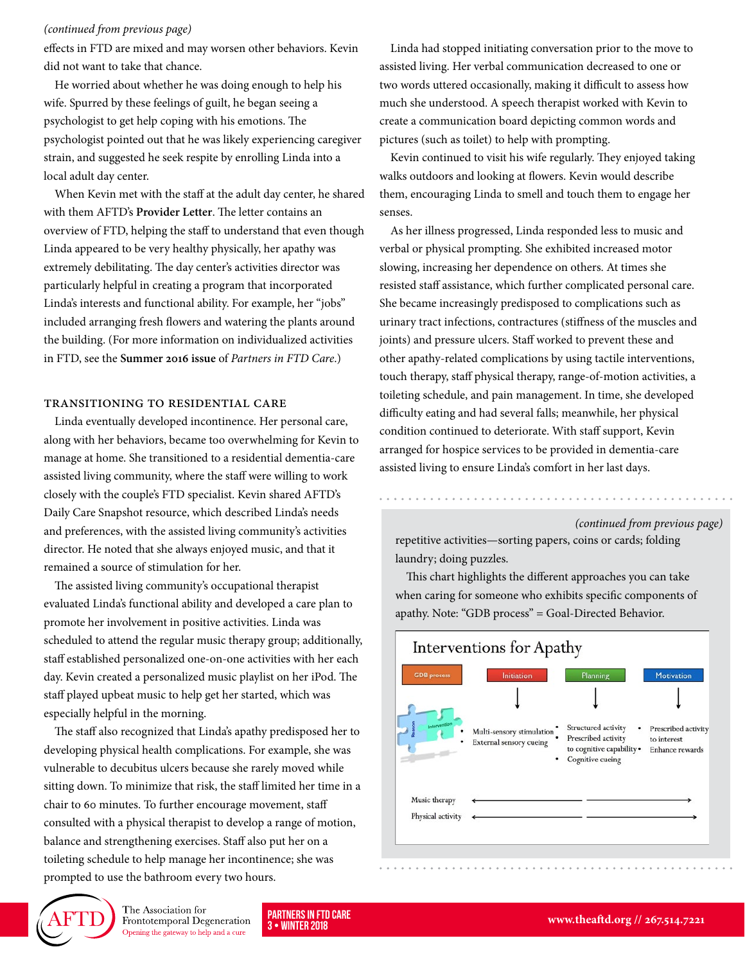#### *(continued from previous page)*

effects in FTD are mixed and may worsen other behaviors. Kevin did not want to take that chance.

He worried about whether he was doing enough to help his wife. Spurred by these feelings of guilt, he began seeing a psychologist to get help coping with his emotions. The psychologist pointed out that he was likely experiencing caregiver strain, and suggested he seek respite by enrolling Linda into a local adult day center.

When Kevin met with the staff at the adult day center, he shared with them AFTD's **[Provider Letter](http://www.theaftd.org/life-with-ftd/resources/provider-letter)**. The letter contains an overview of FTD, helping the staff to understand that even though Linda appeared to be very healthy physically, her apathy was extremely debilitating. The day center's activities director was particularly helpful in creating a program that incorporated Linda's interests and functional ability. For example, her "jobs" included arranging fresh flowers and watering the plants around the building. (For more information on individualized activities in FTD, see the **[Summer 2016 issue](http://www.theaftd.org/wp-content/uploads/2016/10/PinFTDcare_Newsletter_summer2016.pdf)** of *Partners in FTD Care*.)

#### Transitioning to Residential Care

Linda eventually developed incontinence. Her personal care, along with her behaviors, became too overwhelming for Kevin to manage at home. She transitioned to a residential dementia-care assisted living community, where the staff were willing to work closely with the couple's FTD specialist. Kevin shared AFTD's Daily Care Snapshot resource, which described Linda's needs and preferences, with the assisted living community's activities director. He noted that she always enjoyed music, and that it remained a source of stimulation for her.

The assisted living community's occupational therapist evaluated Linda's functional ability and developed a care plan to promote her involvement in positive activities. Linda was scheduled to attend the regular music therapy group; additionally, staff established personalized one-on-one activities with her each day. Kevin created a personalized music playlist on her iPod. The staff played upbeat music to help get her started, which was especially helpful in the morning.

The staff also recognized that Linda's apathy predisposed her to developing physical health complications. For example, she was vulnerable to decubitus ulcers because she rarely moved while sitting down. To minimize that risk, the staff limited her time in a chair to 60 minutes. To further encourage movement, staff consulted with a physical therapist to develop a range of motion, balance and strengthening exercises. Staff also put her on a toileting schedule to help manage her incontinence; she was prompted to use the bathroom every two hours.

Linda had stopped initiating conversation prior to the move to assisted living. Her verbal communication decreased to one or two words uttered occasionally, making it difficult to assess how much she understood. A speech therapist worked with Kevin to create a communication board depicting common words and pictures (such as toilet) to help with prompting.

Kevin continued to visit his wife regularly. They enjoyed taking walks outdoors and looking at flowers. Kevin would describe them, encouraging Linda to smell and touch them to engage her senses.

As her illness progressed, Linda responded less to music and verbal or physical prompting. She exhibited increased motor slowing, increasing her dependence on others. At times she resisted staff assistance, which further complicated personal care. She became increasingly predisposed to complications such as urinary tract infections, contractures (stiffness of the muscles and joints) and pressure ulcers. Staff worked to prevent these and other apathy-related complications by using tactile interventions, touch therapy, staff physical therapy, range-of-motion activities, a toileting schedule, and pain management. In time, she developed difficulty eating and had several falls; meanwhile, her physical condition continued to deteriorate. With staff support, Kevin arranged for hospice services to be provided in dementia-care assisted living to ensure Linda's comfort in her last days.

#### *(continued from previous page)*

repetitive activities—sorting papers, coins or cards; folding laundry; doing puzzles.

This chart highlights the different approaches you can take when caring for someone who exhibits specific components of apathy. Note: "GDB process" = Goal-Directed Behavior.





The Association for Frontotemporal Degeneration Opening the gateway to help and a cure

3 • WINTER 2018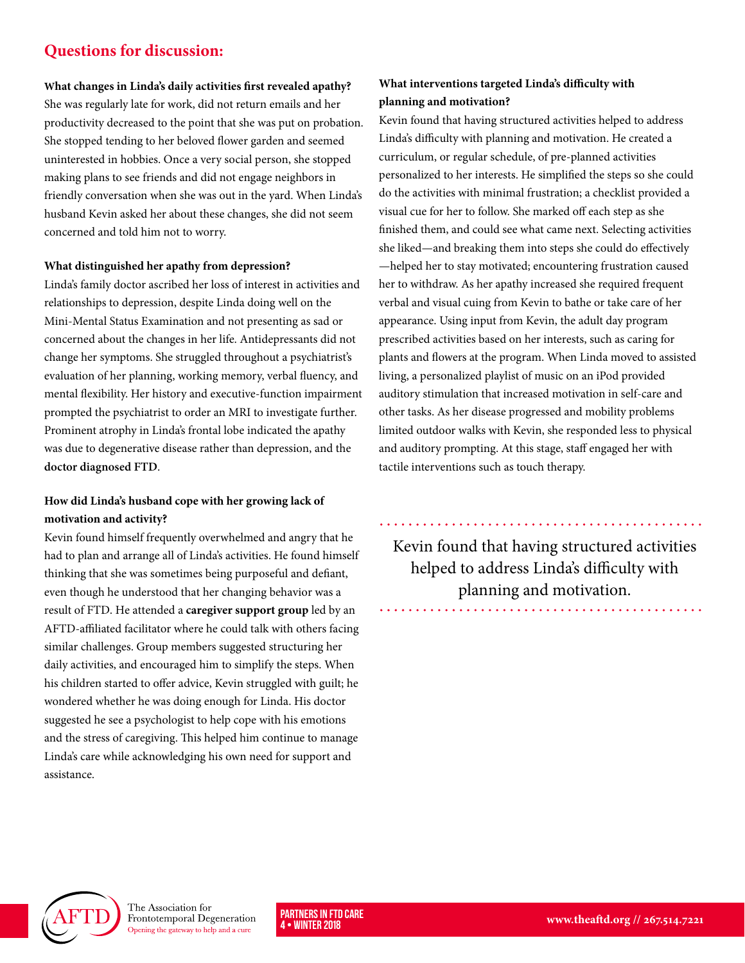#### **Questions for discussion:**

#### **What changes in Linda's daily activities first revealed apathy?**

She was regularly late for work, did not return emails and her productivity decreased to the point that she was put on probation. She stopped tending to her beloved flower garden and seemed uninterested in hobbies. Once a very social person, she stopped making plans to see friends and did not engage neighbors in friendly conversation when she was out in the yard. When Linda's husband Kevin asked her about these changes, she did not seem concerned and told him not to worry.

#### **What distinguished her apathy from depression?**

Linda's family doctor ascribed her loss of interest in activities and relationships to depression, despite Linda doing well on the Mini-Mental Status Examination and not presenting as sad or concerned about the changes in her life. Antidepressants did not change her symptoms. She struggled throughout a psychiatrist's evaluation of her planning, working memory, verbal fluency, and mental flexibility. Her history and executive-function impairment prompted the psychiatrist to order an MRI to investigate further. Prominent atrophy in Linda's frontal lobe indicated the apathy was due to degenerative disease rather than depression, and the **[doctor diagnosed FTD](https://www.theaftd.org/wp-content/uploads/2017/08/PinFTDcare_Newsletter_Summer_2017.pdf)**.

#### **How did Linda's husband cope with her growing lack of motivation and activity?**

Kevin found himself frequently overwhelmed and angry that he had to plan and arrange all of Linda's activities. He found himself thinking that she was sometimes being purposeful and defiant, even though he understood that her changing behavior was a result of FTD. He attended a **[caregiver support grou](http://www.theaftd.org/get-involved/regions)p** led by an AFTD-affiliated facilitator where he could talk with others facing similar challenges. Group members suggested structuring her daily activities, and encouraged him to simplify the steps. When his children started to offer advice, Kevin struggled with guilt; he wondered whether he was doing enough for Linda. His doctor suggested he see a psychologist to help cope with his emotions and the stress of caregiving. This helped him continue to manage Linda's care while acknowledging his own need for support and assistance.

#### **What interventions targeted Linda's difficulty with planning and motivation?**

Kevin found that having structured activities helped to address Linda's difficulty with planning and motivation. He created a curriculum, or regular schedule, of pre-planned activities personalized to her interests. He simplified the steps so she could do the activities with minimal frustration; a checklist provided a visual cue for her to follow. She marked off each step as she finished them, and could see what came next. Selecting activities she liked—and breaking them into steps she could do effectively —helped her to stay motivated; encountering frustration caused her to withdraw. As her apathy increased she required frequent verbal and visual cuing from Kevin to bathe or take care of her appearance. Using input from Kevin, the adult day program prescribed activities based on her interests, such as caring for plants and flowers at the program. When Linda moved to assisted living, a personalized playlist of music on an iPod provided auditory stimulation that increased motivation in self-care and other tasks. As her disease progressed and mobility problems limited outdoor walks with Kevin, she responded less to physical and auditory prompting. At this stage, staff engaged her with tactile interventions such as touch therapy.

Kevin found that having structured activities helped to address Linda's difficulty with planning and motivation.



The Association for Frontotemporal Degeneration Opening the gateway to help and a cure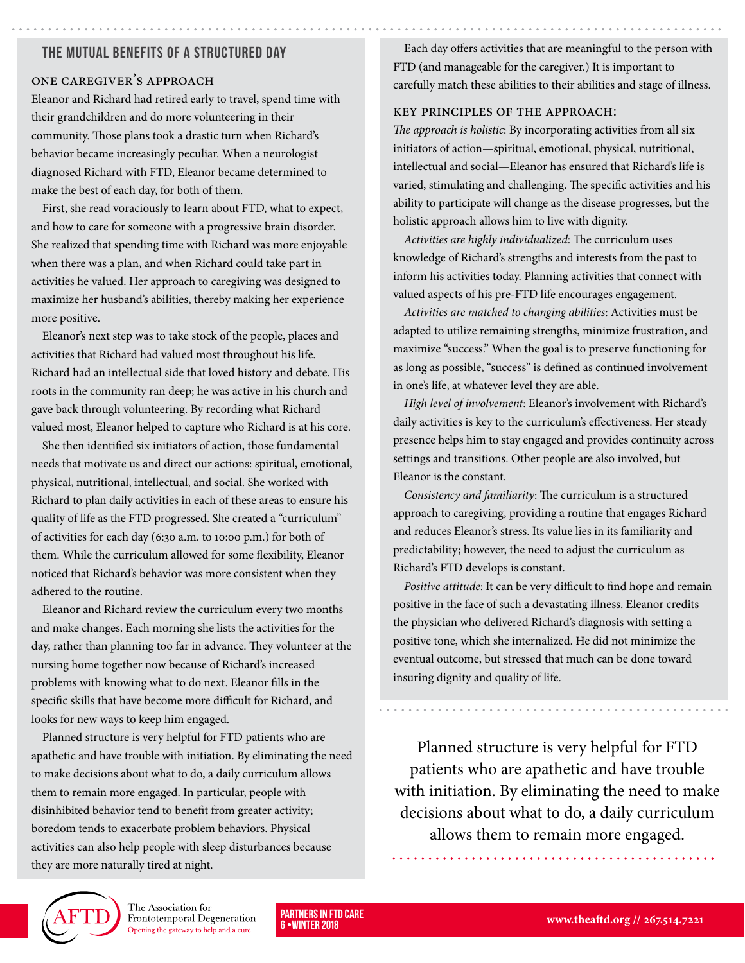#### The Mutual Benefits of a Structured Day

#### One Caregiver's Approach

Eleanor and Richard had retired early to travel, spend time with their grandchildren and do more volunteering in their community. Those plans took a drastic turn when Richard's behavior became increasingly peculiar. When a neurologist diagnosed Richard with FTD, Eleanor became determined to make the best of each day, for both of them.

First, she read voraciously to learn about FTD, what to expect, and how to care for someone with a progressive brain disorder. She realized that spending time with Richard was more enjoyable when there was a plan, and when Richard could take part in activities he valued. Her approach to caregiving was designed to maximize her husband's abilities, thereby making her experience more positive.

Eleanor's next step was to take stock of the people, places and activities that Richard had valued most throughout his life. Richard had an intellectual side that loved history and debate. His roots in the community ran deep; he was active in his church and gave back through volunteering. By recording what Richard valued most, Eleanor helped to capture who Richard is at his core.

She then identified six initiators of action, those fundamental needs that motivate us and direct our actions: spiritual, emotional, physical, nutritional, intellectual, and social. She worked with Richard to plan daily activities in each of these areas to ensure his quality of life as the FTD progressed. She created a "curriculum" of activities for each day (6:30 a.m. to 10:00 p.m.) for both of them. While the curriculum allowed for some flexibility, Eleanor noticed that Richard's behavior was more consistent when they adhered to the routine.

Eleanor and Richard review the curriculum every two months and make changes. Each morning she lists the activities for the day, rather than planning too far in advance. They volunteer at the nursing home together now because of Richard's increased problems with knowing what to do next. Eleanor fills in the specific skills that have become more difficult for Richard, and looks for new ways to keep him engaged.

Planned structure is very helpful for FTD patients who are apathetic and have trouble with initiation. By eliminating the need to make decisions about what to do, a daily curriculum allows them to remain more engaged. In particular, people with disinhibited behavior tend to benefit from greater activity; boredom tends to exacerbate problem behaviors. Physical activities can also help people with sleep disturbances because they are more naturally tired at night.

Each day offers activities that are meaningful to the person with FTD (and manageable for the caregiver.) It is important to carefully match these abilities to their abilities and stage of illness.

#### Key Principles of the Approach:

*The approach is holistic*: By incorporating activities from all six initiators of action—spiritual, emotional, physical, nutritional, intellectual and social—Eleanor has ensured that Richard's life is varied, stimulating and challenging. The specific activities and his ability to participate will change as the disease progresses, but the holistic approach allows him to live with dignity.

*Activities are highly individualized*: The curriculum uses knowledge of Richard's strengths and interests from the past to inform his activities today. Planning activities that connect with valued aspects of his pre-FTD life encourages engagement.

*Activities are matched to changing abilities*: Activities must be adapted to utilize remaining strengths, minimize frustration, and maximize "success." When the goal is to preserve functioning for as long as possible, "success" is defined as continued involvement in one's life, at whatever level they are able.

*High level of involvement*: Eleanor's involvement with Richard's daily activities is key to the curriculum's effectiveness. Her steady presence helps him to stay engaged and provides continuity across settings and transitions. Other people are also involved, but Eleanor is the constant.

*Consistency and familiarity*: The curriculum is a structured approach to caregiving, providing a routine that engages Richard and reduces Eleanor's stress. Its value lies in its familiarity and predictability; however, the need to adjust the curriculum as Richard's FTD develops is constant.

*Positive attitude*: It can be very difficult to find hope and remain positive in the face of such a devastating illness. Eleanor credits the physician who delivered Richard's diagnosis with setting a positive tone, which she internalized. He did not minimize the eventual outcome, but stressed that much can be done toward insuring dignity and quality of life.

Planned structure is very helpful for FTD patients who are apathetic and have trouble with initiation. By eliminating the need to make decisions about what to do, a daily curriculum allows them to remain more engaged.



The Association for Frontotemporal Degeneration Opening the gateway to help and a cure

6 •WINTER 2018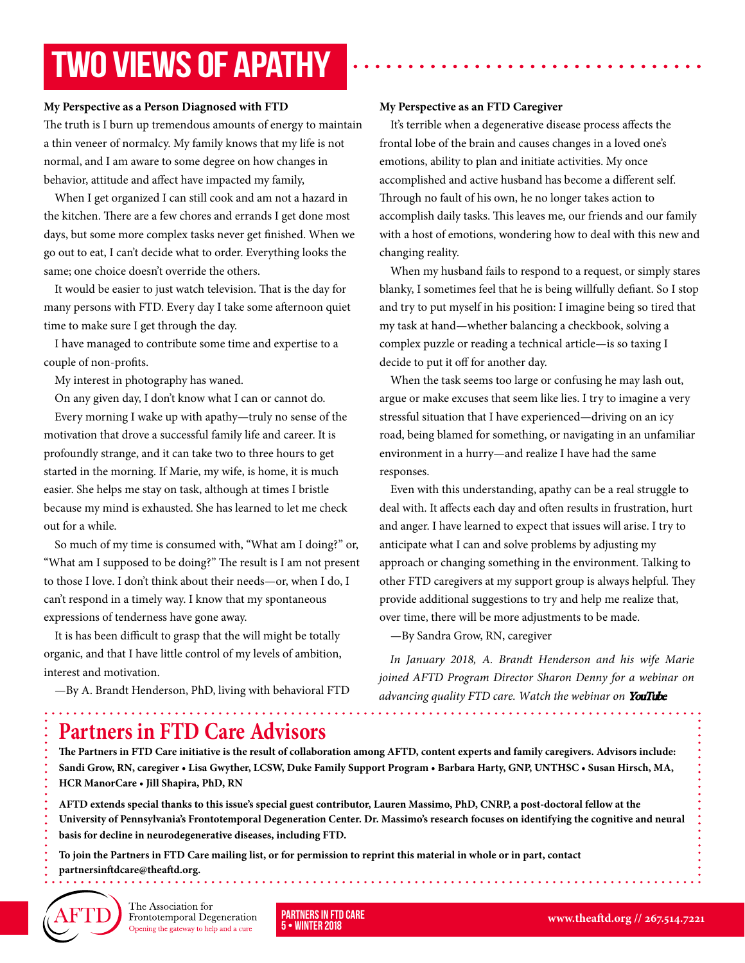## TWO VIEWS OF APATHY

#### **My Perspective as a Person Diagnosed with FTD**

The truth is I burn up tremendous amounts of energy to maintain a thin veneer of normalcy. My family knows that my life is not normal, and I am aware to some degree on how changes in behavior, attitude and affect have impacted my family,

When I get organized I can still cook and am not a hazard in the kitchen. There are a few chores and errands I get done most days, but some more complex tasks never get finished. When we go out to eat, I can't decide what to order. Everything looks the same; one choice doesn't override the others.

It would be easier to just watch television. That is the day for many persons with FTD. Every day I take some afternoon quiet time to make sure I get through the day.

I have managed to contribute some time and expertise to a couple of non-profits.

My interest in photography has waned.

On any given day, I don't know what I can or cannot do.

Every morning I wake up with apathy—truly no sense of the motivation that drove a successful family life and career. It is profoundly strange, and it can take two to three hours to get started in the morning. If Marie, my wife, is home, it is much easier. She helps me stay on task, although at times I bristle because my mind is exhausted. She has learned to let me check out for a while.

So much of my time is consumed with, "What am I doing?" or, "What am I supposed to be doing?" The result is I am not present to those I love. I don't think about their needs—or, when I do, I can't respond in a timely way. I know that my spontaneous expressions of tenderness have gone away.

It is has been difficult to grasp that the will might be totally organic, and that I have little control of my levels of ambition, interest and motivation.

—By A. Brandt Henderson, PhD, living with behavioral FTD

#### **My Perspective as an FTD Caregiver**

It's terrible when a degenerative disease process affects the frontal lobe of the brain and causes changes in a loved one's emotions, ability to plan and initiate activities. My once accomplished and active husband has become a different self. Through no fault of his own, he no longer takes action to accomplish daily tasks. This leaves me, our friends and our family with a host of emotions, wondering how to deal with this new and changing reality.

When my husband fails to respond to a request, or simply stares blanky, I sometimes feel that he is being willfully defiant. So I stop and try to put myself in his position: I imagine being so tired that my task at hand—whether balancing a checkbook, solving a complex puzzle or reading a technical article—is so taxing I decide to put it off for another day.

When the task seems too large or confusing he may lash out, argue or make excuses that seem like lies. I try to imagine a very stressful situation that I have experienced—driving on an icy road, being blamed for something, or navigating in an unfamiliar environment in a hurry—and realize I have had the same responses.

Even with this understanding, apathy can be a real struggle to deal with. It affects each day and often results in frustration, hurt and anger. I have learned to expect that issues will arise. I try to anticipate what I can and solve problems by adjusting my approach or changing something in the environment. Talking to other FTD caregivers at my support group is always helpful. They provide additional suggestions to try and help me realize that, over time, there will be more adjustments to be made.

—By Sandra Grow, RN, caregiver

*In January 2018, A. Brandt Henderson and his wife Marie joined AFTD Program Director Sharon Denny for a webinar on advancing quality FTD care. Watch the [webinar on](https://www.youtube.com/watch?v=QuvEHzTgopg)* **YouTube***.*

### **Partners in FTD Care Advisors**

**The Partners in FTD Care initiative is the result of collaboration among AFTD, content experts and family caregivers. Advisors include: Sandi Grow, RN, caregiver • Lisa Gwyther, LCSW, Duke Family Support Program • Barbara Harty, GNP, UNTHSC • Susan Hirsch, MA, HCR ManorCare • Jill Shapira, PhD, RN**

**AFTD extends special thanks to this issue's special guest contributor, Lauren Massimo, PhD, CNRP, a post-doctoral fellow at the University of Pennsylvania's Frontotemporal Degeneration Center. Dr. Massimo's research focuses on identifying the cognitive and neural basis for decline in neurodegenerative diseases, including FTD.**

**To join the Partners in FTD Care mailing list, or for permission to reprint this material in whole or in part, contact partnersinftdcare@theaftd.org.**



The Association for Frontotemporal Degeneration Opening the gateway to help and a cure

5 • WINTER 2018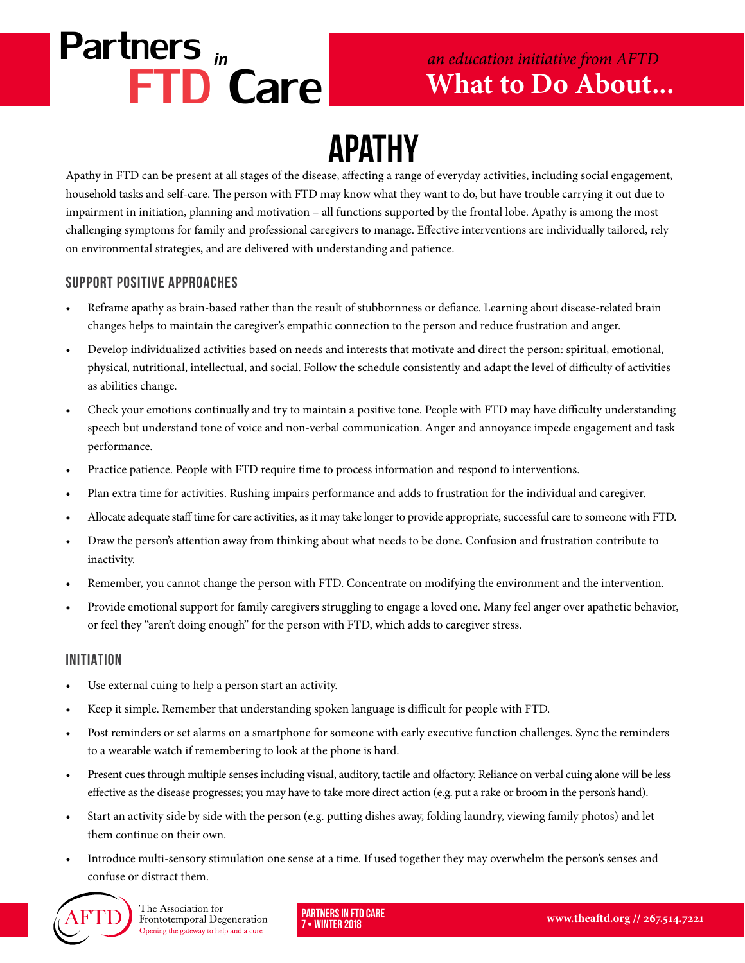## Partners *in* FTD Care

### **What to Do About...** *an education initiative from AFTD*

## APATHY

Apathy in FTD can be present at all stages of the disease, affecting a range of everyday activities, including social engagement, household tasks and self-care. The person with FTD may know what they want to do, but have trouble carrying it out due to impairment in initiation, planning and motivation – all functions supported by the frontal lobe. Apathy is among the most challenging symptoms for family and professional caregivers to manage. Effective interventions are individually tailored, rely on environmental strategies, and are delivered with understanding and patience.

#### Support Positive Approaches

- Reframe apathy as brain-based rather than the result of stubbornness or defiance. Learning about disease-related brain changes helps to maintain the caregiver's empathic connection to the person and reduce frustration and anger.
- Develop individualized activities based on needs and interests that motivate and direct the person: spiritual, emotional, physical, nutritional, intellectual, and social. Follow the schedule consistently and adapt the level of difficulty of activities as abilities change.
- Check your emotions continually and try to maintain a positive tone. People with FTD may have difficulty understanding speech but understand tone of voice and non-verbal communication. Anger and annoyance impede engagement and task performance.
- Practice patience. People with FTD require time to process information and respond to interventions.
- Plan extra time for activities. Rushing impairs performance and adds to frustration for the individual and caregiver.
- Allocate adequate staff time for care activities, as it may take longer to provide appropriate, successful care to someone with FTD.
- Draw the person's attention away from thinking about what needs to be done. Confusion and frustration contribute to inactivity.
- Remember, you cannot change the person with FTD. Concentrate on modifying the environment and the intervention.
- Provide emotional support for family caregivers struggling to engage a loved one. Many feel anger over apathetic behavior, or feel they "aren't doing enough" for the person with FTD, which adds to caregiver stress.

#### Initiation

- Use external cuing to help a person start an activity.
- Keep it simple. Remember that understanding spoken language is difficult for people with FTD.
- Post reminders or set alarms on a smartphone for someone with early executive function challenges. Sync the reminders to a wearable watch if remembering to look at the phone is hard.
- Present cues through multiple senses including visual, auditory, tactile and olfactory. Reliance on verbal cuing alone will be less effective as the disease progresses; you may have to take more direct action (e.g. put a rake or broom in the person's hand).
- Start an activity side by side with the person (e.g. putting dishes away, folding laundry, viewing family photos) and let them continue on their own.
- Introduce multi-sensory stimulation one sense at a time. If used together they may overwhelm the person's senses and confuse or distract them.



The Association for Frontotemporal Degeneration Opening the gateway to help and a cure

Partners in FTD Care • WINTER 2018